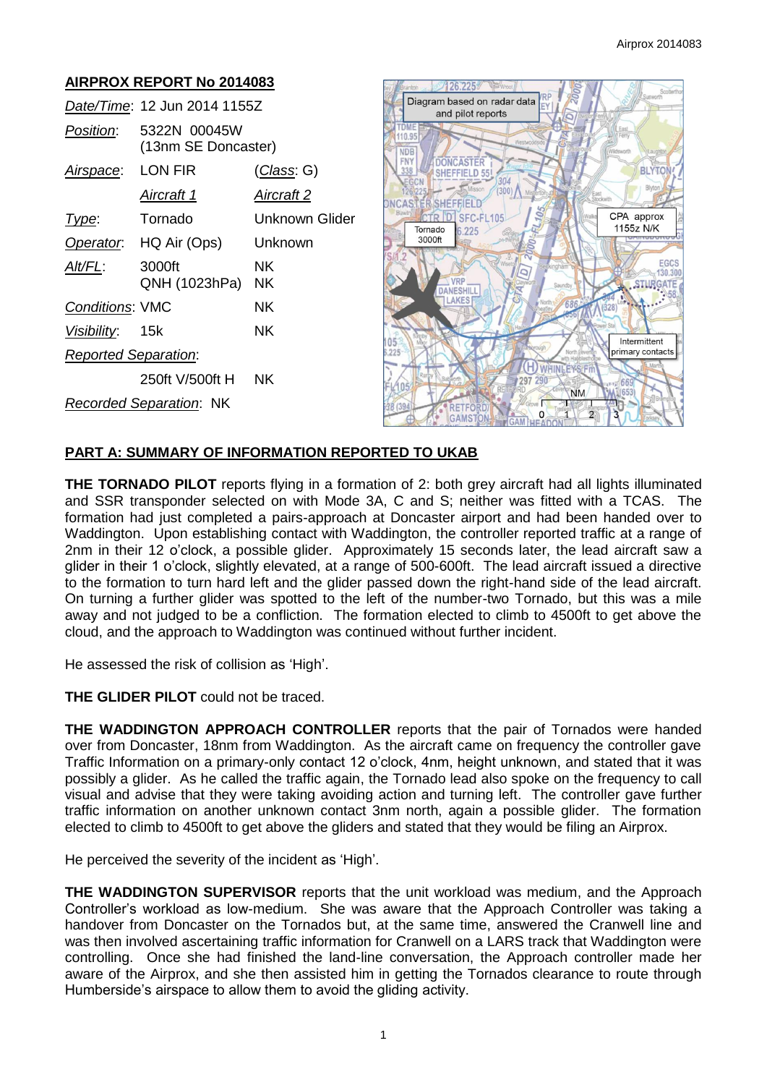# **AIRPROX REPORT No 2014083**

|                                | Date/Time: 12 Jun 2014 1155Z        |                   |
|--------------------------------|-------------------------------------|-------------------|
| <i>Position</i> :              | 5322N 00045W<br>(13nm SE Doncaster) |                   |
| Airspace: LON FIR              |                                     | (Class: G)        |
|                                | Aircraft 1                          | <u>Aircraft 2</u> |
| Type:                          | Tornado                             | Unknown Glider    |
|                                | Operator. HQ Air (Ops)              | Unknown           |
| Alt/FL:                        | 3000ft<br>QNH (1023hPa)             | NΚ<br>ΝK          |
| <b>Conditions: VMC</b>         |                                     | ΝK                |
| Visibility: 15k                |                                     | NK.               |
| <b>Reported Separation:</b>    |                                     |                   |
|                                | 250ft V/500ft H                     | NΚ                |
| <b>Recorded Separation: NK</b> |                                     |                   |



## **PART A: SUMMARY OF INFORMATION REPORTED TO UKAB**

**THE TORNADO PILOT** reports flying in a formation of 2: both grey aircraft had all lights illuminated and SSR transponder selected on with Mode 3A, C and S; neither was fitted with a TCAS. The formation had just completed a pairs-approach at Doncaster airport and had been handed over to Waddington. Upon establishing contact with Waddington, the controller reported traffic at a range of 2nm in their 12 o'clock, a possible glider. Approximately 15 seconds later, the lead aircraft saw a glider in their 1 o'clock, slightly elevated, at a range of 500-600ft. The lead aircraft issued a directive to the formation to turn hard left and the glider passed down the right-hand side of the lead aircraft. On turning a further glider was spotted to the left of the number-two Tornado, but this was a mile away and not judged to be a confliction. The formation elected to climb to 4500ft to get above the cloud, and the approach to Waddington was continued without further incident.

He assessed the risk of collision as 'High'.

**THE GLIDER PILOT** could not be traced.

**THE WADDINGTON APPROACH CONTROLLER** reports that the pair of Tornados were handed over from Doncaster, 18nm from Waddington. As the aircraft came on frequency the controller gave Traffic Information on a primary-only contact 12 o'clock, 4nm, height unknown, and stated that it was possibly a glider. As he called the traffic again, the Tornado lead also spoke on the frequency to call visual and advise that they were taking avoiding action and turning left. The controller gave further traffic information on another unknown contact 3nm north, again a possible glider. The formation elected to climb to 4500ft to get above the gliders and stated that they would be filing an Airprox.

He perceived the severity of the incident as 'High'.

**THE WADDINGTON SUPERVISOR** reports that the unit workload was medium, and the Approach Controller's workload as low-medium. She was aware that the Approach Controller was taking a handover from Doncaster on the Tornados but, at the same time, answered the Cranwell line and was then involved ascertaining traffic information for Cranwell on a LARS track that Waddington were controlling. Once she had finished the land-line conversation, the Approach controller made her aware of the Airprox, and she then assisted him in getting the Tornados clearance to route through Humberside's airspace to allow them to avoid the gliding activity.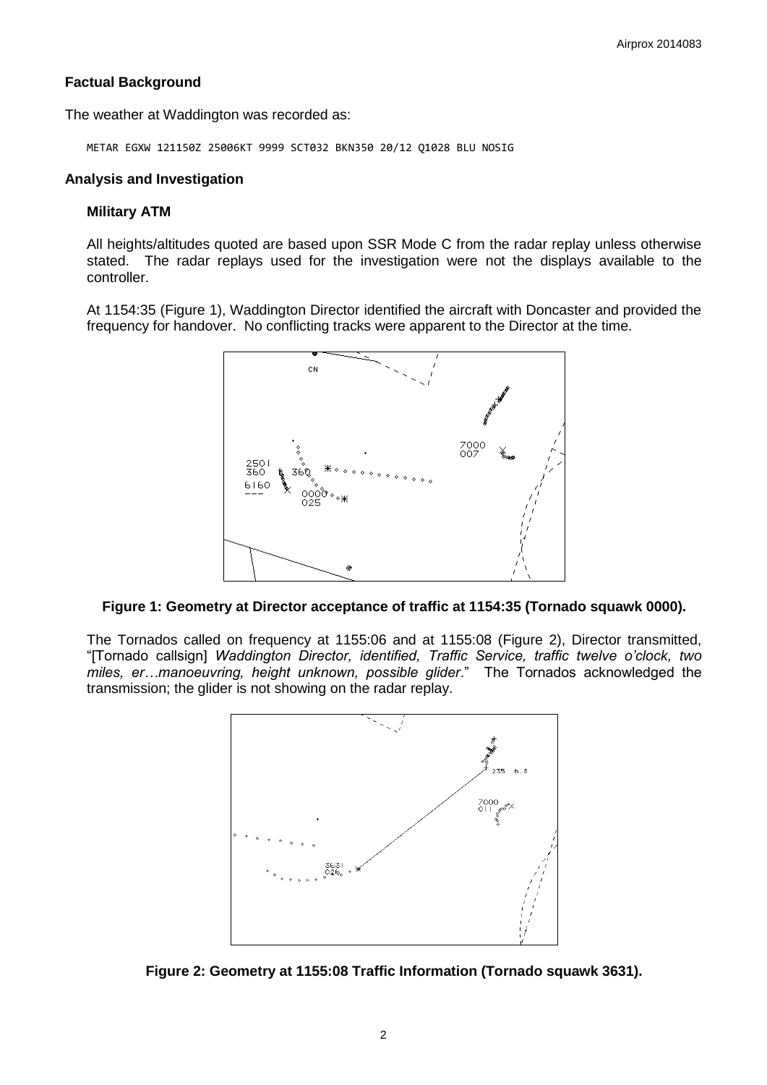# **Factual Background**

The weather at Waddington was recorded as:

METAR EGXW 121150Z 25006KT 9999 SCT032 BKN350 20/12 Q1028 BLU NOSIG

### **Analysis and Investigation**

#### **Military ATM**

All heights/altitudes quoted are based upon SSR Mode C from the radar replay unless otherwise stated. The radar replays used for the investigation were not the displays available to the controller.

At 1154:35 (Figure 1), Waddington Director identified the aircraft with Doncaster and provided the frequency for handover. No conflicting tracks were apparent to the Director at the time.



### **Figure 1: Geometry at Director acceptance of traffic at 1154:35 (Tornado squawk 0000).**

The Tornados called on frequency at 1155:06 and at 1155:08 (Figure 2), Director transmitted, "[Tornado callsign] *Waddington Director, identified, Traffic Service, traffic twelve o'clock, two miles, er…manoeuvring, height unknown, possible glider*." The Tornados acknowledged the transmission; the glider is not showing on the radar replay.



**Figure 2: Geometry at 1155:08 Traffic Information (Tornado squawk 3631).**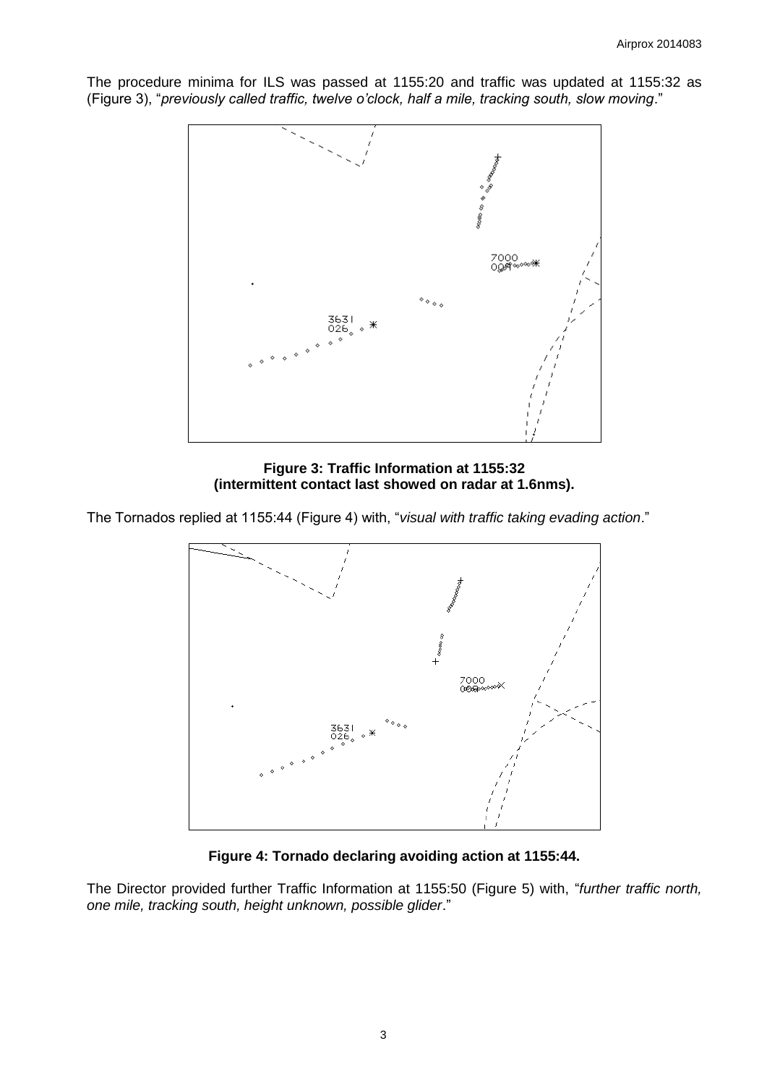The procedure minima for ILS was passed at 1155:20 and traffic was updated at 1155:32 as (Figure 3), "*previously called traffic, twelve o'clock, half a mile, tracking south, slow moving*."



**Figure 3: Traffic Information at 1155:32 (intermittent contact last showed on radar at 1.6nms).**

The Tornados replied at 1155:44 (Figure 4) with, "*visual with traffic taking evading action*."



**Figure 4: Tornado declaring avoiding action at 1155:44.**

The Director provided further Traffic Information at 1155:50 (Figure 5) with, "*further traffic north, one mile, tracking south, height unknown, possible glider*."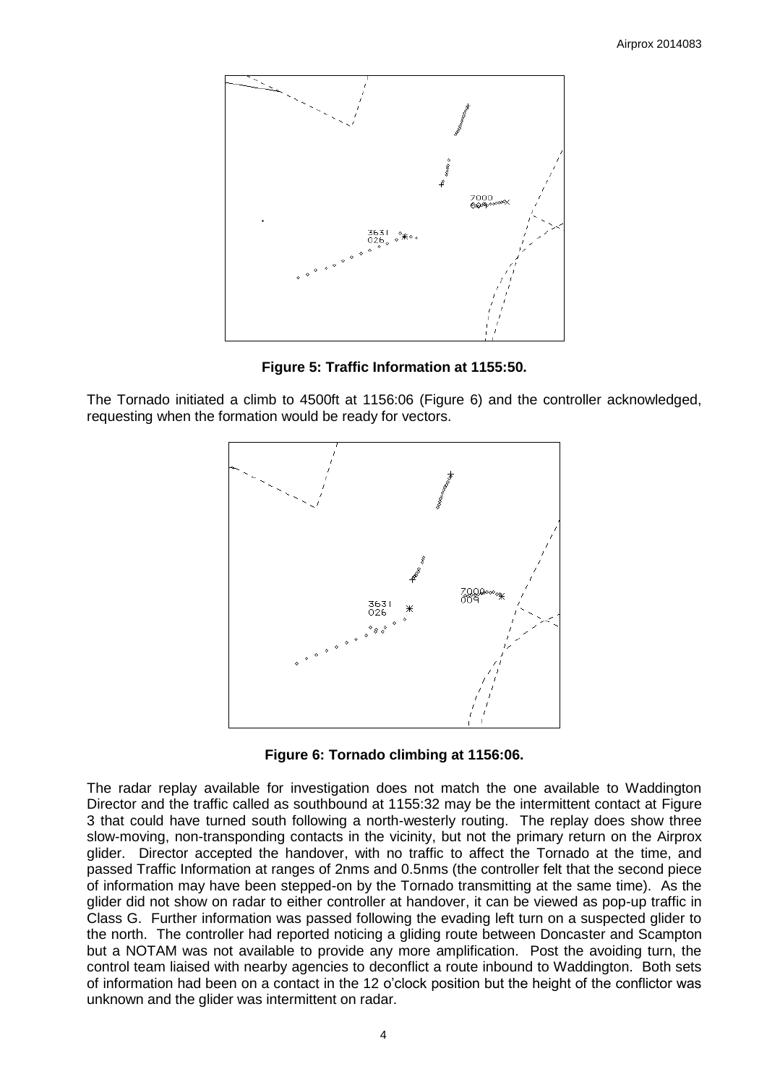

**Figure 5: Traffic Information at 1155:50.**

The Tornado initiated a climb to 4500ft at 1156:06 (Figure 6) and the controller acknowledged, requesting when the formation would be ready for vectors.



**Figure 6: Tornado climbing at 1156:06.**

The radar replay available for investigation does not match the one available to Waddington Director and the traffic called as southbound at 1155:32 may be the intermittent contact at Figure 3 that could have turned south following a north-westerly routing. The replay does show three slow-moving, non-transponding contacts in the vicinity, but not the primary return on the Airprox glider. Director accepted the handover, with no traffic to affect the Tornado at the time, and passed Traffic Information at ranges of 2nms and 0.5nms (the controller felt that the second piece of information may have been stepped-on by the Tornado transmitting at the same time). As the glider did not show on radar to either controller at handover, it can be viewed as pop-up traffic in Class G. Further information was passed following the evading left turn on a suspected glider to the north. The controller had reported noticing a gliding route between Doncaster and Scampton but a NOTAM was not available to provide any more amplification. Post the avoiding turn, the control team liaised with nearby agencies to deconflict a route inbound to Waddington. Both sets of information had been on a contact in the 12 o'clock position but the height of the conflictor was unknown and the glider was intermittent on radar.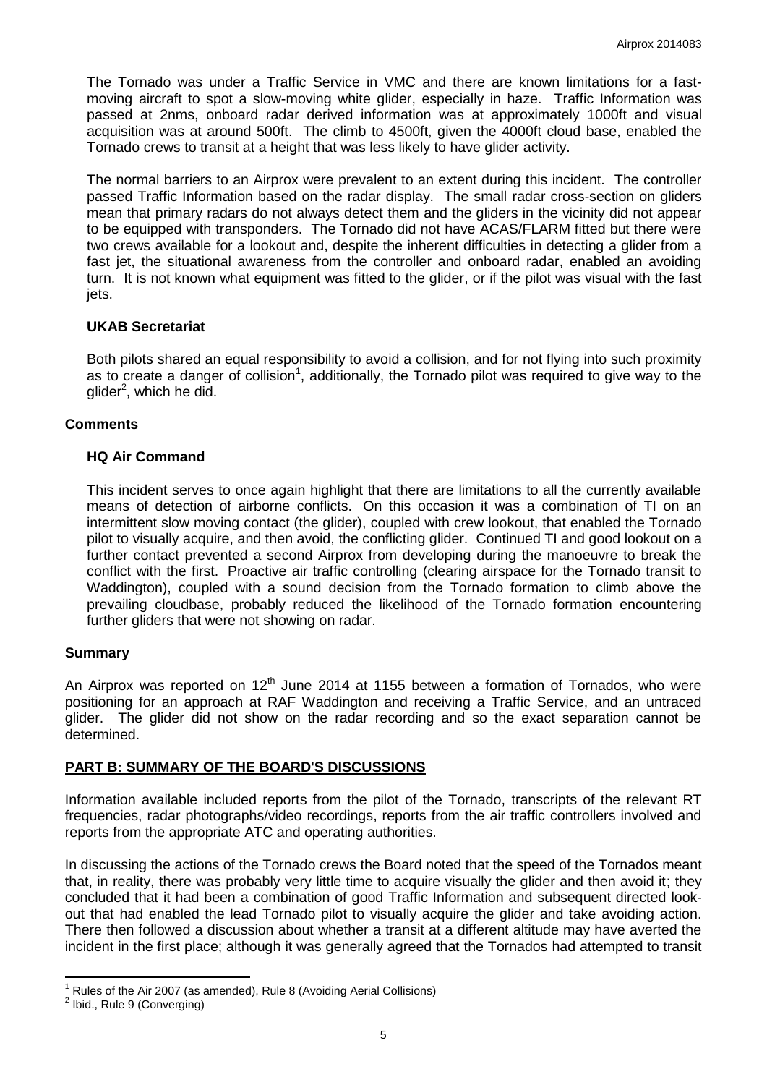The Tornado was under a Traffic Service in VMC and there are known limitations for a fastmoving aircraft to spot a slow-moving white glider, especially in haze. Traffic Information was passed at 2nms, onboard radar derived information was at approximately 1000ft and visual acquisition was at around 500ft. The climb to 4500ft, given the 4000ft cloud base, enabled the Tornado crews to transit at a height that was less likely to have glider activity.

The normal barriers to an Airprox were prevalent to an extent during this incident. The controller passed Traffic Information based on the radar display. The small radar cross-section on gliders mean that primary radars do not always detect them and the gliders in the vicinity did not appear to be equipped with transponders. The Tornado did not have ACAS/FLARM fitted but there were two crews available for a lookout and, despite the inherent difficulties in detecting a glider from a fast jet, the situational awareness from the controller and onboard radar, enabled an avoiding turn. It is not known what equipment was fitted to the glider, or if the pilot was visual with the fast jets.

## **UKAB Secretariat**

Both pilots shared an equal responsibility to avoid a collision, and for not flying into such proximity as to create a danger of collision<sup>1</sup>, additionally, the Tornado pilot was required to give way to the glider<sup>2</sup>, which he did.

## **Comments**

## **HQ Air Command**

This incident serves to once again highlight that there are limitations to all the currently available means of detection of airborne conflicts. On this occasion it was a combination of TI on an intermittent slow moving contact (the glider), coupled with crew lookout, that enabled the Tornado pilot to visually acquire, and then avoid, the conflicting glider. Continued TI and good lookout on a further contact prevented a second Airprox from developing during the manoeuvre to break the conflict with the first. Proactive air traffic controlling (clearing airspace for the Tornado transit to Waddington), coupled with a sound decision from the Tornado formation to climb above the prevailing cloudbase, probably reduced the likelihood of the Tornado formation encountering further gliders that were not showing on radar.

### **Summary**

An Airprox was reported on  $12<sup>th</sup>$  June 2014 at 1155 between a formation of Tornados, who were positioning for an approach at RAF Waddington and receiving a Traffic Service, and an untraced glider. The glider did not show on the radar recording and so the exact separation cannot be determined.

### **PART B: SUMMARY OF THE BOARD'S DISCUSSIONS**

Information available included reports from the pilot of the Tornado, transcripts of the relevant RT frequencies, radar photographs/video recordings, reports from the air traffic controllers involved and reports from the appropriate ATC and operating authorities.

In discussing the actions of the Tornado crews the Board noted that the speed of the Tornados meant that, in reality, there was probably very little time to acquire visually the glider and then avoid it; they concluded that it had been a combination of good Traffic Information and subsequent directed lookout that had enabled the lead Tornado pilot to visually acquire the glider and take avoiding action. There then followed a discussion about whether a transit at a different altitude may have averted the incident in the first place; although it was generally agreed that the Tornados had attempted to transit

 $\overline{\phantom{a}}$ 

<sup>1</sup> Rules of the Air 2007 (as amended), Rule 8 (Avoiding Aerial Collisions)

<sup>&</sup>lt;sup>2</sup> Ibid., Rule 9 (Converging)